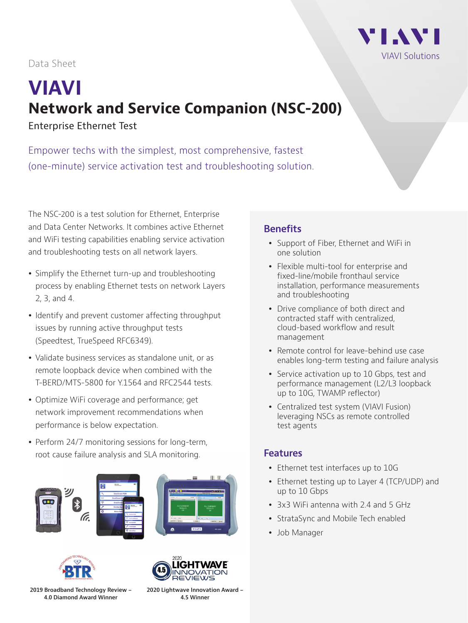#### Data Sheet

# **VIAVI Network and Service Companion (NSC-200)**

Enterprise Ethernet Test

Empower techs with the simplest, most comprehensive, fastest (one-minute) service activation test and troubleshooting solution.

The NSC-200 is a test solution for Ethernet, Enterprise and Data Center Networks. It combines active Ethernet and WiFi testing capabilities enabling service activation and troubleshooting tests on all network layers.

- Simplify the Ethernet turn-up and troubleshooting process by enabling Ethernet tests on network Layers 2, 3, and 4.
- Identify and prevent customer affecting throughput issues by running active throughput tests (Speedtest, TrueSpeed RFC6349).
- Validate business services as standalone unit, or as remote loopback device when combined with the T-BERD/MTS-5800 for Y.1564 and RFC2544 tests.
- Optimize WiFi coverage and performance; get network improvement recommendations when performance is below expectation.
- Perform 24/7 monitoring sessions for long-term, root cause failure analysis and SLA monitoring.







**2019 Broadband Technology Review - 4.0 Diamond Award Winner**

**2020 Lightwave Innovation Award - 4.5 Winner**

#### **Benefits**

- Support of Fiber, Ethernet and WiFi in one solution
- Flexible multi-tool for enterprise and fixed-line/mobile fronthaul service installation, performance measurements and troubleshooting
- Drive compliance of both direct and contracted staff with centralized, cloud-based workflow and result management
- Remote control for leave-behind use case enables long-term testing and failure analysis
- Service activation up to 10 Gbps, test and performance management (L2/L3 loopback up to 10G, TWAMP reflector)
- Centralized test system (VIAVI Fusion) leveraging NSCs as remote controlled test agents

#### **Features**

- Ethernet test interfaces up to 10G
- Ethernet testing up to Layer 4 (TCP/UDP) and up to 10 Gbps
- 3x3 WiFi antenna with 2.4 and 5 GHz
- StrataSync and Mobile Tech enabled
- Job Manager

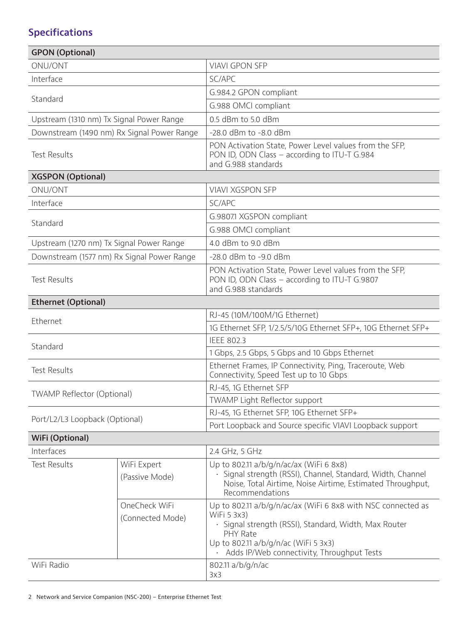### **Specifications**

| <b>GPON (Optional)</b>                     |                               |                                                                                                                                                                                       |  |  |
|--------------------------------------------|-------------------------------|---------------------------------------------------------------------------------------------------------------------------------------------------------------------------------------|--|--|
| ONU/ONT                                    |                               | <b>VIAVI GPON SFP</b>                                                                                                                                                                 |  |  |
| Interface                                  |                               | SC/APC                                                                                                                                                                                |  |  |
| Standard                                   |                               | G.984.2 GPON compliant                                                                                                                                                                |  |  |
|                                            |                               | G.988 OMCI compliant                                                                                                                                                                  |  |  |
| Upstream (1310 nm) Tx Signal Power Range   |                               | 0.5 dBm to 5.0 dBm                                                                                                                                                                    |  |  |
| Downstream (1490 nm) Rx Signal Power Range |                               | -28.0 dBm to -8.0 dBm                                                                                                                                                                 |  |  |
| <b>Test Results</b>                        |                               | PON Activation State, Power Level values from the SFP,<br>PON ID, ODN Class - according to ITU-T G.984<br>and G.988 standards                                                         |  |  |
| <b>XGSPON (Optional)</b>                   |                               |                                                                                                                                                                                       |  |  |
| ONU/ONT                                    |                               | <b>VIAVI XGSPON SFP</b>                                                                                                                                                               |  |  |
| Interface                                  |                               | SC/APC                                                                                                                                                                                |  |  |
| Standard                                   |                               | G.98071 XGSPON compliant                                                                                                                                                              |  |  |
|                                            |                               | G.988 OMCI compliant                                                                                                                                                                  |  |  |
| Upstream (1270 nm) Tx Signal Power Range   |                               | 4.0 dBm to 9.0 dBm                                                                                                                                                                    |  |  |
| Downstream (1577 nm) Rx Signal Power Range |                               | -28.0 dBm to -9.0 dBm                                                                                                                                                                 |  |  |
| <b>Test Results</b>                        |                               | PON Activation State, Power Level values from the SFP,<br>PON ID, ODN Class - according to ITU-T G.9807<br>and G.988 standards                                                        |  |  |
| <b>Ethernet (Optional)</b>                 |                               |                                                                                                                                                                                       |  |  |
| Ethernet                                   |                               | RJ-45 (10M/100M/1G Ethernet)                                                                                                                                                          |  |  |
|                                            |                               | 1G Ethernet SFP, 1/2.5/5/10G Ethernet SFP+, 10G Ethernet SFP+                                                                                                                         |  |  |
| Standard                                   |                               | <b>IEEE 802.3</b>                                                                                                                                                                     |  |  |
|                                            |                               | 1 Gbps, 2.5 Gbps, 5 Gbps and 10 Gbps Ethernet                                                                                                                                         |  |  |
| <b>Test Results</b>                        |                               | Ethernet Frames, IP Connectivity, Ping, Traceroute, Web<br>Connectivity, Speed Test up to 10 Gbps                                                                                     |  |  |
| <b>TWAMP Reflector (Optional)</b>          |                               | RJ-45, 1G Ethernet SFP                                                                                                                                                                |  |  |
|                                            |                               | TWAMP Light Reflector support                                                                                                                                                         |  |  |
| Port/L2/L3 Loopback (Optional)             |                               | RJ-45, 1G Ethernet SFP, 10G Ethernet SFP+                                                                                                                                             |  |  |
|                                            |                               | Port Loopback and Source specific VIAVI Loopback support                                                                                                                              |  |  |
| <b>WiFi (Optional)</b>                     |                               |                                                                                                                                                                                       |  |  |
| Interfaces                                 |                               | 2.4 GHz, 5 GHz                                                                                                                                                                        |  |  |
| <b>Test Results</b>                        | WiFi Expert<br>(Passive Mode) | Up to 802.11 a/b/g/n/ac/ax (WiFi 6 8x8)<br>Signal strength (RSSI), Channel, Standard, Width, Channel<br>Noise, Total Airtime, Noise Airtime, Estimated Throughput,<br>Recommendations |  |  |

WiFi 5 3x3)

3x3

PHY Rate

Up to 802.11 a/b/g/n/ac (WiFi 5 3x3)

Up to 802.11 a/b/g/n/ac/ax (WiFi 6 8x8 with NSC connected as

• Signal strength (RSSI), Standard, Width, Max Router

• Adds IP/Web connectivity, Throughput Tests

OneCheck WiFi (Connected Mode)

WiFi Radio 802.11 a/b/g/n/ac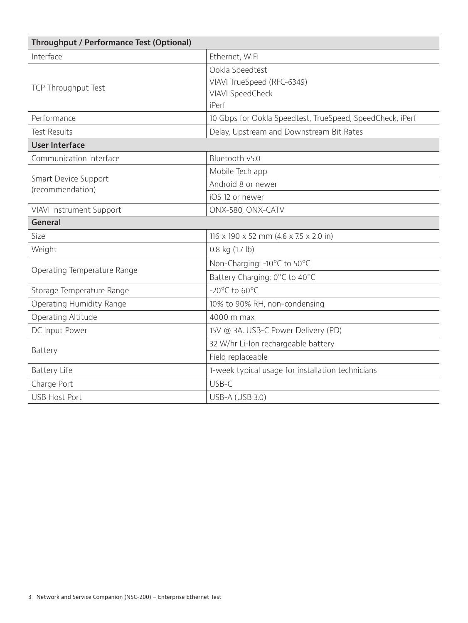| <b>Throughput / Performance Test (Optional)</b> |                                                           |  |  |
|-------------------------------------------------|-----------------------------------------------------------|--|--|
| Interface                                       | Ethernet, WiFi                                            |  |  |
|                                                 | Ookla Speedtest                                           |  |  |
| <b>TCP Throughput Test</b>                      | VIAVI TrueSpeed (RFC-6349)                                |  |  |
|                                                 | <b>VIAVI SpeedCheck</b>                                   |  |  |
|                                                 | iPerf                                                     |  |  |
| Performance                                     | 10 Gbps for Ookla Speedtest, TrueSpeed, SpeedCheck, iPerf |  |  |
| <b>Test Results</b>                             | Delay, Upstream and Downstream Bit Rates                  |  |  |
| <b>User Interface</b>                           |                                                           |  |  |
| Communication Interface                         | Bluetooth v5.0                                            |  |  |
|                                                 | Mobile Tech app                                           |  |  |
| Smart Device Support<br>(recommendation)        | Android 8 or newer                                        |  |  |
|                                                 | iOS 12 or newer                                           |  |  |
| VIAVI Instrument Support                        | ONX-580, ONX-CATV                                         |  |  |
| <b>General</b>                                  |                                                           |  |  |
| Size                                            | 116 x 190 x 52 mm (4.6 x 7.5 x 2.0 in)                    |  |  |
| Weight                                          | 0.8 kg (1.7 lb)                                           |  |  |
| Operating Temperature Range                     | Non-Charging: -10°C to 50°C                               |  |  |
|                                                 | Battery Charging: 0°C to 40°C                             |  |  |
| Storage Temperature Range                       | -20 $^{\circ}$ C to 60 $^{\circ}$ C                       |  |  |
| Operating Humidity Range                        | 10% to 90% RH, non-condensing                             |  |  |
| Operating Altitude                              | 4000 m max                                                |  |  |
| DC Input Power                                  | 15V @ 3A, USB-C Power Delivery (PD)                       |  |  |
| Battery                                         | 32 W/hr Li-Ion rechargeable battery                       |  |  |
|                                                 | Field replaceable                                         |  |  |
| Battery Life                                    | 1-week typical usage for installation technicians         |  |  |
| Charge Port                                     | USB-C                                                     |  |  |
| <b>USB Host Port</b>                            | <b>USB-A (USB 3.0)</b>                                    |  |  |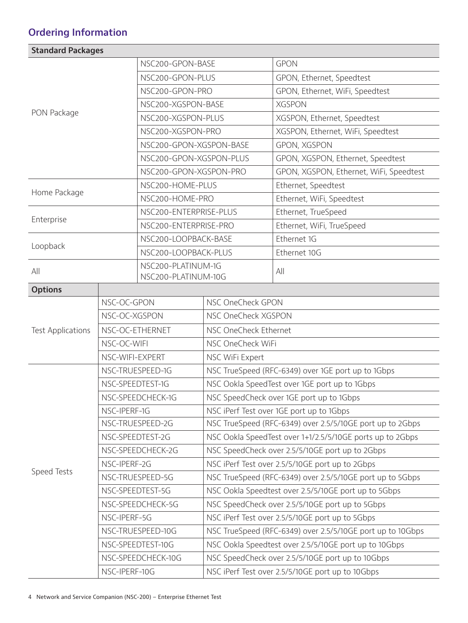## **Ordering Information**

| <b>Standard Packages</b> |                                      |                         |                                                                                                       |                                         |
|--------------------------|--------------------------------------|-------------------------|-------------------------------------------------------------------------------------------------------|-----------------------------------------|
|                          |                                      | NSC200-GPON-BASE        |                                                                                                       | <b>GPON</b>                             |
|                          |                                      | NSC200-GPON-PLUS        |                                                                                                       | GPON, Ethernet, Speedtest               |
|                          |                                      | NSC200-GPON-PRO         |                                                                                                       | GPON, Ethernet, WiFi, Speedtest         |
| PON Package              |                                      | NSC200-XGSPON-BASE      |                                                                                                       | <b>XGSPON</b>                           |
|                          |                                      | NSC200-XGSPON-PLUS      |                                                                                                       | XGSPON, Ethernet, Speedtest             |
|                          |                                      | NSC200-XGSPON-PRO       |                                                                                                       | XGSPON, Ethernet, WiFi, Speedtest       |
|                          |                                      | NSC200-GPON-XGSPON-BASE |                                                                                                       | GPON, XGSPON                            |
|                          |                                      | NSC200-GPON-XGSPON-PLUS |                                                                                                       | GPON, XGSPON, Ethernet, Speedtest       |
|                          |                                      | NSC200-GPON-XGSPON-PRO  |                                                                                                       | GPON, XGSPON, Ethernet, WiFi, Speedtest |
| Home Package             |                                      | NSC200-HOME-PLUS        |                                                                                                       | Ethernet, Speedtest                     |
|                          |                                      | NSC200-HOME-PRO         |                                                                                                       | Ethernet, WiFi, Speedtest               |
|                          |                                      | NSC200-ENTERPRISE-PLUS  |                                                                                                       | Ethernet, TrueSpeed                     |
| Enterprise               |                                      | NSC200-ENTERPRISE-PRO   |                                                                                                       | Ethernet, WiFi, TrueSpeed               |
| Loopback                 |                                      | NSC200-LOOPBACK-BASE    |                                                                                                       | Ethernet 1G                             |
|                          |                                      | NSC200-LOOPBACK-PLUS    |                                                                                                       | Ethernet 10G                            |
| All                      |                                      | NSC200-PLATINUM-1G      |                                                                                                       | All                                     |
|                          | NSC200-PLATINUM-10G                  |                         |                                                                                                       |                                         |
| <b>Options</b>           |                                      |                         |                                                                                                       |                                         |
|                          | NSC-OC-GPON                          |                         | NSC OneCheck GPON                                                                                     |                                         |
|                          | NSC-OC-XGSPON                        |                         | NSC OneCheck XGSPON                                                                                   |                                         |
| <b>Test Applications</b> |                                      | NSC-OC-ETHERNET         | NSC OneCheck Ethernet                                                                                 |                                         |
|                          | NSC-OC-WIFI<br>NSC-WIFI-EXPERT       |                         | NSC OneCheck WiFi                                                                                     |                                         |
|                          |                                      |                         | NSC WiFi Expert                                                                                       |                                         |
|                          | NSC-TRUESPEED-1G                     |                         | NSC TrueSpeed (RFC-6349) over 1GE port up to 1Gbps                                                    |                                         |
|                          | NSC-SPEEDTEST-1G                     |                         | NSC Ookla SpeedTest over 1GE port up to 1Gbps                                                         |                                         |
|                          | NSC-SPEEDCHECK-1G                    |                         | NSC SpeedCheck over 1GE port up to 1Gbps                                                              |                                         |
|                          | NSC-IPERF-1G                         |                         | NSC iPerf Test over 1GE port up to 1Gbps<br>NSC TrueSpeed (RFC-6349) over 2.5/5/10GE port up to 2Gbps |                                         |
|                          | NSC-TRUESPEED-2G<br>NSC-SPEEDTEST-2G |                         | NSC Ookla SpeedTest over 1+1/2.5/5/10GE ports up to 2Gbps                                             |                                         |
|                          | NSC-SPEEDCHECK-2G                    |                         | NSC SpeedCheck over 2.5/5/10GE port up to 2Gbps                                                       |                                         |
|                          | NSC-IPERF-2G                         |                         | NSC iPerf Test over 2.5/5/10GE port up to 2Gbps                                                       |                                         |
| Speed Tests              | NSC-TRUESPEED-5G                     |                         | NSC TrueSpeed (RFC-6349) over 2.5/5/10GE port up to 5Gbps                                             |                                         |
|                          | NSC-SPEEDTEST-5G                     |                         | NSC Ookla Speedtest over 2.5/5/10GE port up to 5Gbps                                                  |                                         |
|                          | NSC-SPEEDCHECK-5G                    |                         | NSC SpeedCheck over 2.5/5/10GE port up to 5Gbps                                                       |                                         |
|                          | NSC-IPERF-5G                         |                         | NSC iPerf Test over 2.5/5/10GE port up to 5Gbps                                                       |                                         |
|                          | NSC-TRUESPEED-10G                    |                         | NSC TrueSpeed (RFC-6349) over 2.5/5/10GE port up to 10Gbps                                            |                                         |
|                          | NSC-SPEEDTEST-10G                    |                         | NSC Ookla Speedtest over 2.5/5/10GE port up to 10Gbps                                                 |                                         |
|                          | NSC-SPEEDCHECK-10G                   |                         | NSC SpeedCheck over 2.5/5/10GE port up to 10Gbps                                                      |                                         |
|                          | NSC-IPERF-10G                        |                         | NSC iPerf Test over 2.5/5/10GE port up to 10Gbps                                                      |                                         |
|                          |                                      |                         |                                                                                                       |                                         |